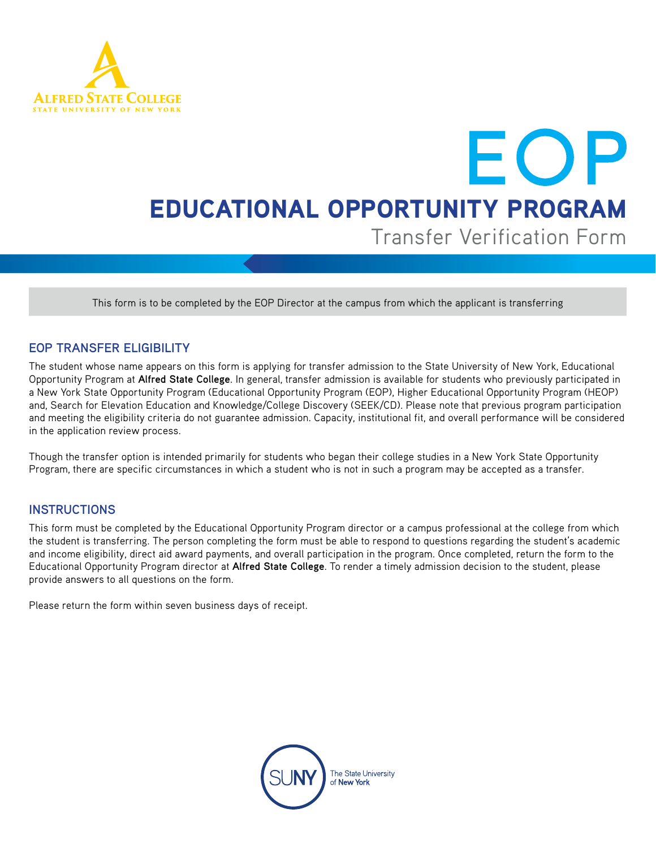

## EOP EDUCATIONAL OPPORTUNITY PROGRAM Transfer Verification Form

This form is to be completed by the EOP Director at the campus from which the applicant is transferring

## **EOP TRANSFER ELIGIBILITY**

The student whose name appears on this form is applying for transfer admission to the State University of New York, Educational Opportunity Program at **Alfred State College**. In general, transfer admission is available for students who previously participated in a New York State Opportunity Program (Educational Opportunity Program (EOP), Higher Educational Opportunity Program (HEOP) and, Search for Elevation Education and Knowledge/College Discovery (SEEK/CD). Please note that previous program participation and meeting the eligibility criteria do not guarantee admission. Capacity, institutional fit, and overall performance will be considered in the application review process.

Though the transfer option is intended primarily for students who began their college studies in a New York State Opportunity Program, there are specific circumstances in which a student who is not in such a program may be accepted as a transfer.

## **INSTRUCTIONS**

This form must be completed by the Educational Opportunity Program director or a campus professional at the college from which the student is transferring. The person completing the form must be able to respond to questions regarding the student's academic and income eligibility, direct aid award payments, and overall participation in the program. Once completed, return the form to the Educational Opportunity Program director at **Alfred State College**. To render a timely admission decision to the student, please provide answers to all questions on the form.

Please return the form within seven business days of receipt.

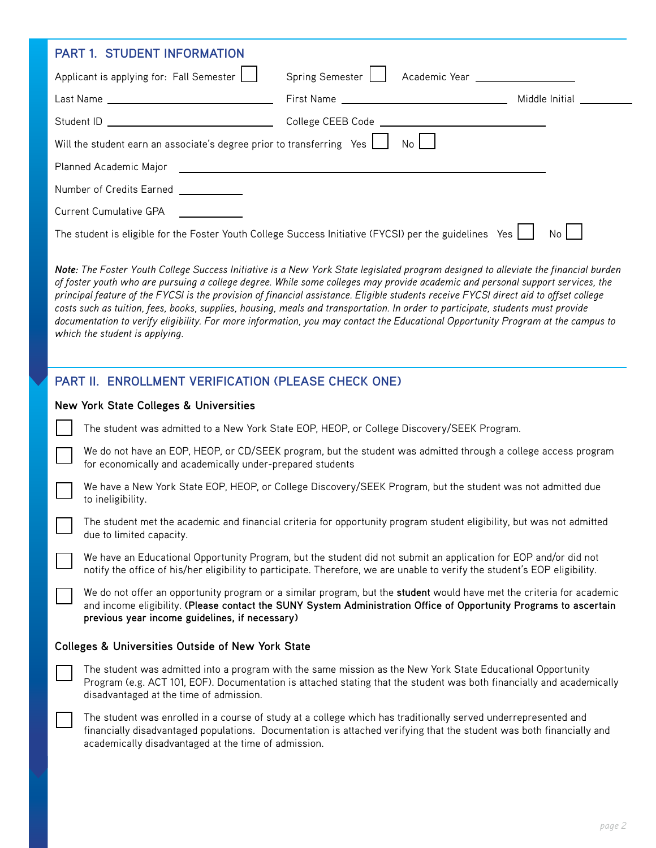| <b>PART 1. STUDENT INFORMATION</b>                                                                                                                                                                                                                                                                                                                                                                                                                                                                                                                                                                                                                                                                                     |                                                                                                                                                                             |                                                                                                                                                                                                                                                |    |  |  |  |  |
|------------------------------------------------------------------------------------------------------------------------------------------------------------------------------------------------------------------------------------------------------------------------------------------------------------------------------------------------------------------------------------------------------------------------------------------------------------------------------------------------------------------------------------------------------------------------------------------------------------------------------------------------------------------------------------------------------------------------|-----------------------------------------------------------------------------------------------------------------------------------------------------------------------------|------------------------------------------------------------------------------------------------------------------------------------------------------------------------------------------------------------------------------------------------|----|--|--|--|--|
|                                                                                                                                                                                                                                                                                                                                                                                                                                                                                                                                                                                                                                                                                                                        | Applicant is applying for: Fall Semester                                                                                                                                    | Spring Semester     Academic Year                                                                                                                                                                                                              |    |  |  |  |  |
|                                                                                                                                                                                                                                                                                                                                                                                                                                                                                                                                                                                                                                                                                                                        |                                                                                                                                                                             |                                                                                                                                                                                                                                                |    |  |  |  |  |
|                                                                                                                                                                                                                                                                                                                                                                                                                                                                                                                                                                                                                                                                                                                        |                                                                                                                                                                             |                                                                                                                                                                                                                                                |    |  |  |  |  |
| Will the student earn an associate's degree prior to transferring Yes $\boxed{\phantom{a}}$ No $\boxed{\phantom{a}}$                                                                                                                                                                                                                                                                                                                                                                                                                                                                                                                                                                                                   |                                                                                                                                                                             |                                                                                                                                                                                                                                                |    |  |  |  |  |
|                                                                                                                                                                                                                                                                                                                                                                                                                                                                                                                                                                                                                                                                                                                        |                                                                                                                                                                             |                                                                                                                                                                                                                                                |    |  |  |  |  |
| Number of Credits Earned ____________                                                                                                                                                                                                                                                                                                                                                                                                                                                                                                                                                                                                                                                                                  |                                                                                                                                                                             |                                                                                                                                                                                                                                                |    |  |  |  |  |
|                                                                                                                                                                                                                                                                                                                                                                                                                                                                                                                                                                                                                                                                                                                        | Current Cumulative GPA                                                                                                                                                      |                                                                                                                                                                                                                                                |    |  |  |  |  |
|                                                                                                                                                                                                                                                                                                                                                                                                                                                                                                                                                                                                                                                                                                                        |                                                                                                                                                                             | The student is eligible for the Foster Youth College Success Initiative (FYCSI) per the guidelines Yes [166]                                                                                                                                   | No |  |  |  |  |
| Note: The Foster Youth College Success Initiative is a New York State legislated program designed to alleviate the financial burden<br>of foster youth who are pursuing a college degree. While some colleges may provide academic and personal support services, the<br>principal feature of the FYCSI is the provision of financial assistance. Eligible students receive FYCSI direct aid to offset college<br>costs such as tuition, fees, books, supplies, housing, meals and transportation. In order to participate, students must provide<br>documentation to verify eligibility. For more information, you may contact the Educational Opportunity Program at the campus to<br>which the student is applying. |                                                                                                                                                                             |                                                                                                                                                                                                                                                |    |  |  |  |  |
|                                                                                                                                                                                                                                                                                                                                                                                                                                                                                                                                                                                                                                                                                                                        | PART II. ENROLLMENT VERIFICATION (PLEASE CHECK ONE)                                                                                                                         |                                                                                                                                                                                                                                                |    |  |  |  |  |
| <b>New York State Colleges &amp; Universities</b>                                                                                                                                                                                                                                                                                                                                                                                                                                                                                                                                                                                                                                                                      |                                                                                                                                                                             |                                                                                                                                                                                                                                                |    |  |  |  |  |
|                                                                                                                                                                                                                                                                                                                                                                                                                                                                                                                                                                                                                                                                                                                        | The student was admitted to a New York State EOP, HEOP, or College Discovery/SEEK Program.                                                                                  |                                                                                                                                                                                                                                                |    |  |  |  |  |
|                                                                                                                                                                                                                                                                                                                                                                                                                                                                                                                                                                                                                                                                                                                        | We do not have an EOP, HEOP, or CD/SEEK program, but the student was admitted through a college access program<br>for economically and academically under-prepared students |                                                                                                                                                                                                                                                |    |  |  |  |  |
|                                                                                                                                                                                                                                                                                                                                                                                                                                                                                                                                                                                                                                                                                                                        | We have a New York State EOP, HEOP, or College Discovery/SEEK Program, but the student was not admitted due<br>to ineligibility.                                            |                                                                                                                                                                                                                                                |    |  |  |  |  |
|                                                                                                                                                                                                                                                                                                                                                                                                                                                                                                                                                                                                                                                                                                                        | The student met the academic and financial criteria for opportunity program student eligibility, but was not admitted<br>due to limited capacity.                           |                                                                                                                                                                                                                                                |    |  |  |  |  |
|                                                                                                                                                                                                                                                                                                                                                                                                                                                                                                                                                                                                                                                                                                                        |                                                                                                                                                                             | We have an Educational Opportunity Program, but the student did not submit an application for EOP and/or did not<br>notify the office of his/her eligibility to participate. Therefore, we are unable to verify the student's EOP eligibility. |    |  |  |  |  |
|                                                                                                                                                                                                                                                                                                                                                                                                                                                                                                                                                                                                                                                                                                                        | previous year income guidelines, if necessary)                                                                                                                              | We do not offer an opportunity program or a similar program, but the student would have met the criteria for academic<br>and income eligibility. (Please contact the SUNY System Administration Office of Opportunity Programs to ascertain    |    |  |  |  |  |
| <b>Colleges &amp; Universities Outside of New York State</b>                                                                                                                                                                                                                                                                                                                                                                                                                                                                                                                                                                                                                                                           |                                                                                                                                                                             |                                                                                                                                                                                                                                                |    |  |  |  |  |
|                                                                                                                                                                                                                                                                                                                                                                                                                                                                                                                                                                                                                                                                                                                        | disadvantaged at the time of admission.                                                                                                                                     | The student was admitted into a program with the same mission as the New York State Educational Opportunity<br>Program (e.g. ACT 101, EOF). Documentation is attached stating that the student was both financially and academically           |    |  |  |  |  |
|                                                                                                                                                                                                                                                                                                                                                                                                                                                                                                                                                                                                                                                                                                                        |                                                                                                                                                                             | The student was enrolled in a course of study at a college which has traditionally served underrepresented and<br>financially disadvantaged populations. Documentation is attached verifying that the student was both financially and         |    |  |  |  |  |

academically disadvantaged at the time of admission.

*page 2*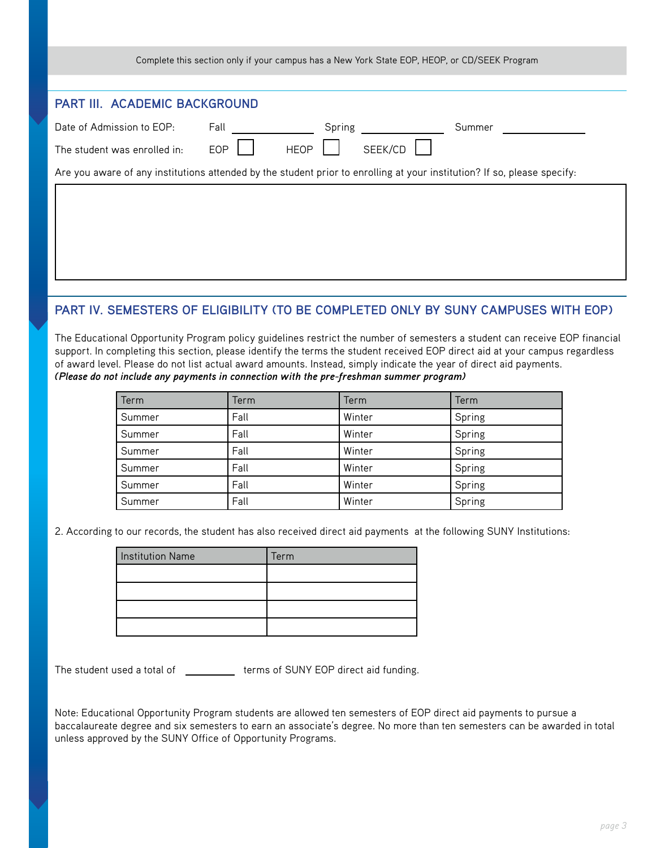|                                                                                                                          |                           | Complete this section only if your campus has a New York State EOP, HEOP, or CD/SEEK Program |        |  |  |  |
|--------------------------------------------------------------------------------------------------------------------------|---------------------------|----------------------------------------------------------------------------------------------|--------|--|--|--|
| <b>PART III. ACADEMIC BACKGROUND</b>                                                                                     |                           |                                                                                              |        |  |  |  |
| Date of Admission to EOP:                                                                                                | Fall                      | Spring                                                                                       | Summer |  |  |  |
| The student was enrolled in:                                                                                             | <b>EOP</b><br><b>HEOP</b> | SEEK/CD                                                                                      |        |  |  |  |
| Are you aware of any institutions attended by the student prior to enrolling at your institution? If so, please specify: |                           |                                                                                              |        |  |  |  |
|                                                                                                                          |                           |                                                                                              |        |  |  |  |
|                                                                                                                          |                           |                                                                                              |        |  |  |  |

## **PART IV. SEMESTERS OF ELIGIBILITY (TO BE COMPLETED ONLY BY SUNY CAMPUSES WITH EOP)**

The Educational Opportunity Program policy guidelines restrict the number of semesters a student can receive EOP financial support. In completing this section, please identify the terms the student received EOP direct aid at your campus regardless of award level. Please do not list actual award amounts. Instead, simply indicate the year of direct aid payments. *(Please do not include any payments in connection with the pre-freshman summer program)*

| Term   | Term | Term   | Term   |
|--------|------|--------|--------|
| Summer | Fall | Winter | Spring |
| Summer | Fall | Winter | Spring |
| Summer | Fall | Winter | Spring |
| Summer | Fall | Winter | Spring |
| Summer | Fall | Winter | Spring |
| Summer | Fall | Winter | Spring |

2. According to our records, the student has also received direct aid payments at the following SUNY Institutions:

| <b>Institution Name</b> | Term |
|-------------------------|------|
|                         |      |
|                         |      |
|                         |      |
|                         |      |

The student used a total of \_\_\_\_\_\_\_\_\_\_\_ terms of SUNY EOP direct aid funding.

Note: Educational Opportunity Program students are allowed ten semesters of EOP direct aid payments to pursue a baccalaureate degree and six semesters to earn an associate's degree. No more than ten semesters can be awarded in total unless approved by the SUNY Office of Opportunity Programs.